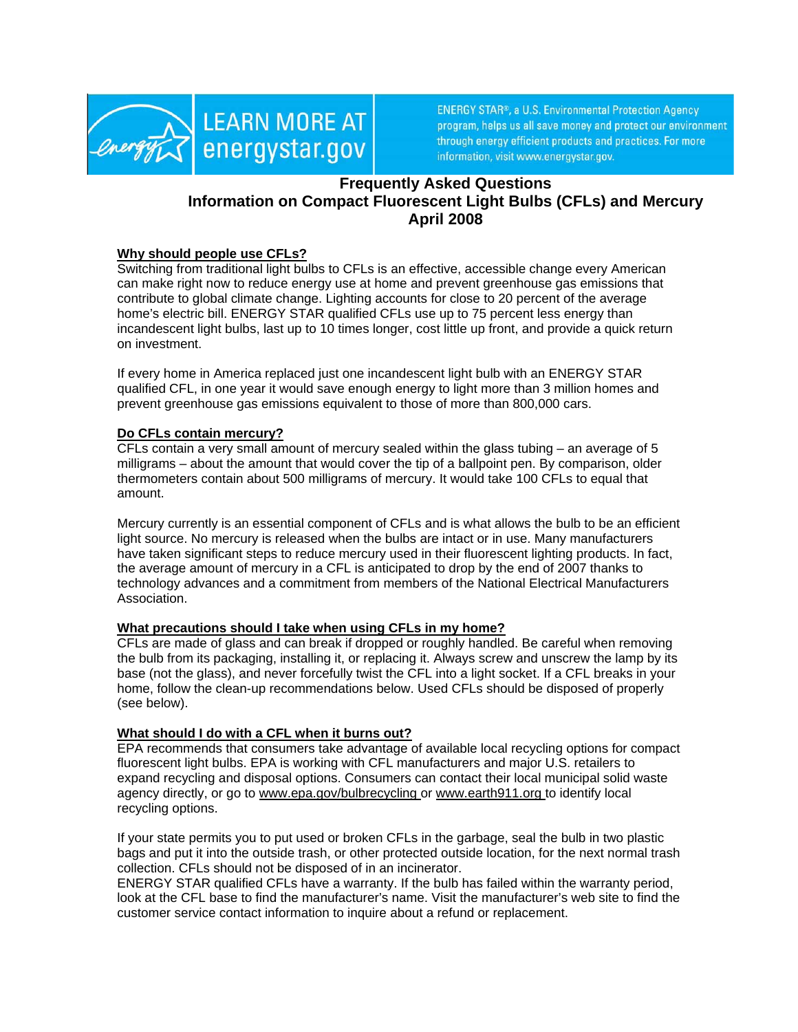

**ENERGY STAR®, a U.S. Environmental Protection Agency** program, helps us all save money and protect our environment through energy efficient products and practices. For more information, visit www.energystar.gov.

# **Frequently Asked Questions Information on Compact Fluorescent Light Bulbs (CFLs) and Mercury April 2008**

## **Why should people use CFLs?**

Switching from traditional light bulbs to CFLs is an effective, accessible change every American can make right now to reduce energy use at home and prevent greenhouse gas emissions that contribute to global climate change. Lighting accounts for close to 20 percent of the average home's electric bill. ENERGY STAR qualified CFLs use up to 75 percent less energy than incandescent light bulbs, last up to 10 times longer, cost little up front, and provide a quick return on investment.

If every home in America replaced just one incandescent light bulb with an ENERGY STAR qualified CFL, in one year it would save enough energy to light more than 3 million homes and prevent greenhouse gas emissions equivalent to those of more than 800,000 cars.

#### **Do CFLs contain mercury?**

CFLs contain a very small amount of mercury sealed within the glass tubing – an average of 5 milligrams – about the amount that would cover the tip of a ballpoint pen. By comparison, older thermometers contain about 500 milligrams of mercury. It would take 100 CFLs to equal that amount.

Mercury currently is an essential component of CFLs and is what allows the bulb to be an efficient light source. No mercury is released when the bulbs are intact or in use. Many manufacturers have taken significant steps to reduce mercury used in their fluorescent lighting products. In fact, the average amount of mercury in a CFL is anticipated to drop by the end of 2007 thanks to technology advances and a commitment from members of the National Electrical Manufacturers Association.

#### **What precautions should I take when using CFLs in my home?**

CFLs are made of glass and can break if dropped or roughly handled. Be careful when removing the bulb from its packaging, installing it, or replacing it. Always screw and unscrew the lamp by its base (not the glass), and never forcefully twist the CFL into a light socket. If a CFL breaks in your home, follow the clean-up recommendations below. Used CFLs should be disposed of properly (see below).

## **What should I do with a CFL when it burns out?**

EPA recommends that consumers take advantage of available local recycling options for compact fluorescent light bulbs. EPA is working with CFL manufacturers and major U.S. retailers to expand recycling and disposal options. Consumers can contact their local municipal solid waste agency directly, or go to [www.epa.gov/bulbrecycling](http://www.epa.gov/bulbrecycling) or [www.earth911.org](http://www.earth911.org) to identify local recycling options.

If your state permits you to put used or broken CFLs in the garbage, seal the bulb in two plastic bags and put it into the outside trash, or other protected outside location, for the next normal trash collection. CFLs should not be disposed of in an incinerator.

ENERGY STAR qualified CFLs have a warranty. If the bulb has failed within the warranty period, look at the CFL base to find the manufacturer's name. Visit the manufacturer's web site to find the customer service contact information to inquire about a refund or replacement.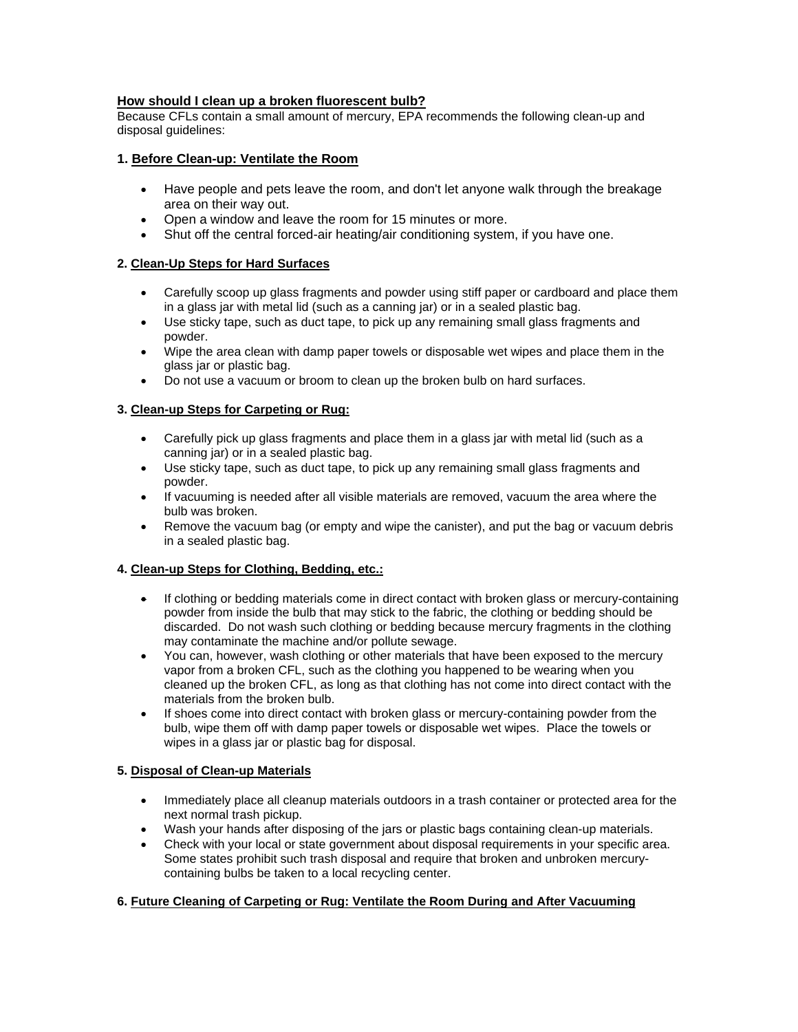## **How should I clean up a broken fluorescent bulb?**

Because CFLs contain a small amount of mercury, EPA recommends the following clean-up and disposal guidelines:

## **1. Before Clean-up: Ventilate the Room**

- Have people and pets leave the room, and don't let anyone walk through the breakage area on their way out.
- Open a window and leave the room for 15 minutes or more.
- Shut off the central forced-air heating/air conditioning system, if you have one.

## **2. Clean-Up Steps for Hard Surfaces**

- Carefully scoop up glass fragments and powder using stiff paper or cardboard and place them in a glass jar with metal lid (such as a canning jar) or in a sealed plastic bag.
- Use sticky tape, such as duct tape, to pick up any remaining small glass fragments and powder.
- Wipe the area clean with damp paper towels or disposable wet wipes and place them in the glass jar or plastic bag.
- Do not use a vacuum or broom to clean up the broken bulb on hard surfaces.

## **3. Clean-up Steps for Carpeting or Rug:**

- Carefully pick up glass fragments and place them in a glass jar with metal lid (such as a canning jar) or in a sealed plastic bag.
- Use sticky tape, such as duct tape, to pick up any remaining small glass fragments and powder.
- If vacuuming is needed after all visible materials are removed, vacuum the area where the bulb was broken.
- Remove the vacuum bag (or empty and wipe the canister), and put the bag or vacuum debris in a sealed plastic bag.

#### **4. Clean-up Steps for Clothing, Bedding, etc.:**

- If clothing or bedding materials come in direct contact with broken glass or mercury-containing powder from inside the bulb that may stick to the fabric, the clothing or bedding should be discarded. Do not wash such clothing or bedding because mercury fragments in the clothing may contaminate the machine and/or pollute sewage.
- You can, however, wash clothing or other materials that have been exposed to the mercury vapor from a broken CFL, such as the clothing you happened to be wearing when you cleaned up the broken CFL, as long as that clothing has not come into direct contact with the materials from the broken bulb.
- If shoes come into direct contact with broken glass or mercury-containing powder from the bulb, wipe them off with damp paper towels or disposable wet wipes. Place the towels or wipes in a glass jar or plastic bag for disposal.

#### **5. Disposal of Clean-up Materials**

- Immediately place all cleanup materials outdoors in a trash container or protected area for the next normal trash pickup.
- Wash your hands after disposing of the jars or plastic bags containing clean-up materials.
- Check with your local or state government about disposal requirements in your specific area. Some states prohibit such trash disposal and require that broken and unbroken mercurycontaining bulbs be taken to a local recycling center.

#### **6. Future Cleaning of Carpeting or Rug: Ventilate the Room During and After Vacuuming**